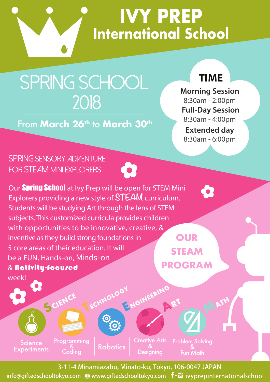

**IVY PREP International School**

## SPRING SCHOOL 2018

From **March 26th** to **March 30th**

## **TIME**

**Morning Session** 8:30am - 2:00pm **Full-Day Session** 8:30am - 4:00pm **Extended day** 8:30am - 6:00pm

8

## SPRING Sensory Adventure FOR STEAM MINI EXPLORERS

Science **Experiments** 

week!

Programming<br>&<br>\_ Coding

SCIENC

Our **Spring School** at Ivy Prep will be open for STEM Mini Explorers providing a new style of **STEAM** curriculum. Students will be studying Art through the lens of STEM subjects. This customized curricula provides children with opportunities to be innovative, creative, & inventive as they build strong foundations in 5 core areas of their education. It will be a FUN, Hands-on, Minds-on & Activity-focused

**OUR STEAM PROGRAM**



3-11-4 Minamiazabu, Minato-ku, Tokyo, 106-0047 JAPAN

info@giftedschooltokyo.com www.giftedschooltokyo.com ivyprepinternationalschool info@giftedschooltokyo.com www.giftedschooltokyo.com ivyprepinternationalschool

**Robotics**